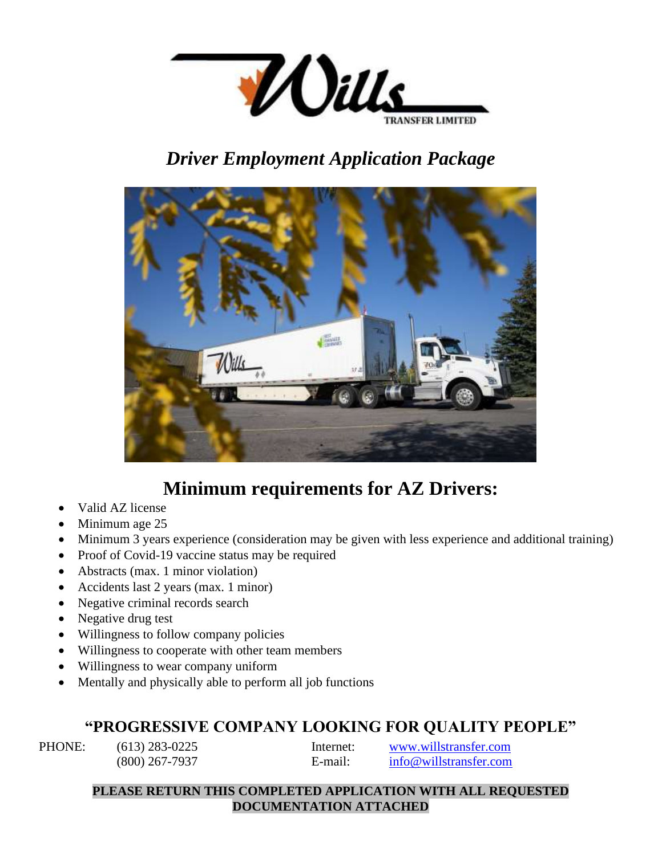

# *Driver Employment Application Package*



# **Minimum requirements for AZ Drivers:**

- Valid AZ license
- Minimum age 25
- Minimum 3 years experience (consideration may be given with less experience and additional training)
- Proof of Covid-19 vaccine status may be required
- Abstracts (max. 1 minor violation)
- Accidents last 2 years (max. 1 minor)
- Negative criminal records search
- Negative drug test
- Willingness to follow company policies
- Willingness to cooperate with other team members
- Willingness to wear company uniform
- Mentally and physically able to perform all job functions

## **"PROGRESSIVE COMPANY LOOKING FOR QUALITY PEOPLE"**

PHONE: (613) 283-0225 Internet: [www.willstransfer.com](http://www.willstransfer.com/) (800) 267-7937 E-mail: [info@willstransfer.com](mailto:info@willstransfer.com)

### **PLEASE RETURN THIS COMPLETED APPLICATION WITH ALL REQUESTED DOCUMENTATION ATTACHED**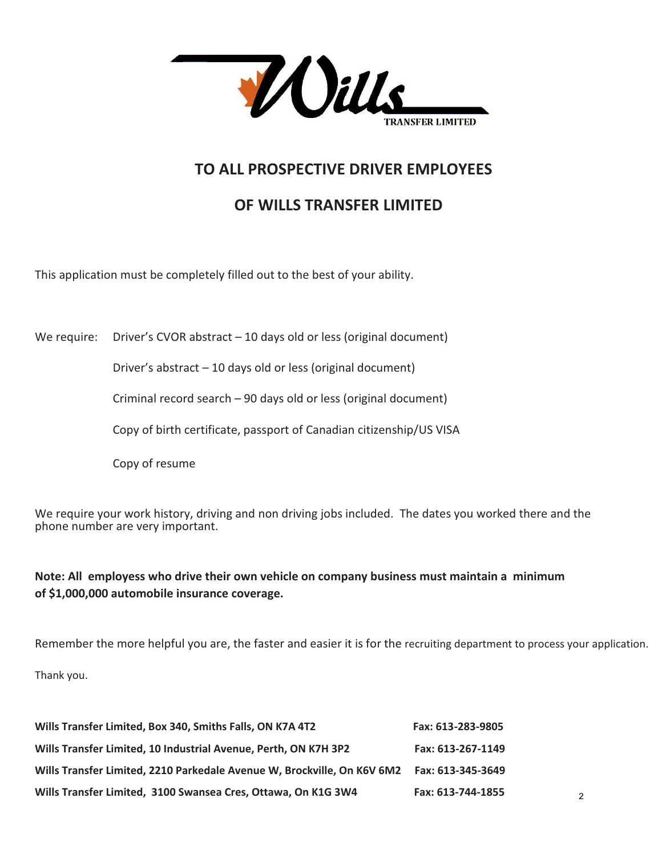

## **TO ALL PROSPECTIVE DRIVER EMPLOYEES**

## **OF WILLS TRANSFER LIMITED**

This application must be completely filled out to the best of your ability.

We require: Driver's CVOR abstract  $-10$  days old or less (original document)

Driver's abstract – 10 days old or less (original document)

Criminal record search – 90 days old or less (original document)

Copy of birth certificate, passport of Canadian citizenship/US VISA

Copy of resume

We require your work history, driving and non driving jobs included. The dates you worked there and the phone number are very important.

**Note: All employess who drive their own vehicle on company business must maintain a minimum of \$1,000,000 automobile insurance coverage.** 

Remember the more helpful you are, the faster and easier it is for the recruiting department to process your application.

Thank you.

| Wills Transfer Limited, Box 340, Smiths Falls, ON K7A 4T2                                  | Fax: 613-283-9805 |
|--------------------------------------------------------------------------------------------|-------------------|
| Wills Transfer Limited, 10 Industrial Avenue, Perth, ON K7H 3P2                            | Fax: 613-267-1149 |
| Wills Transfer Limited, 2210 Parkedale Avenue W, Brockville, On K6V 6M2  Fax: 613-345-3649 |                   |
| Wills Transfer Limited, 3100 Swansea Cres, Ottawa, On K1G 3W4                              | Fax: 613-744-1855 |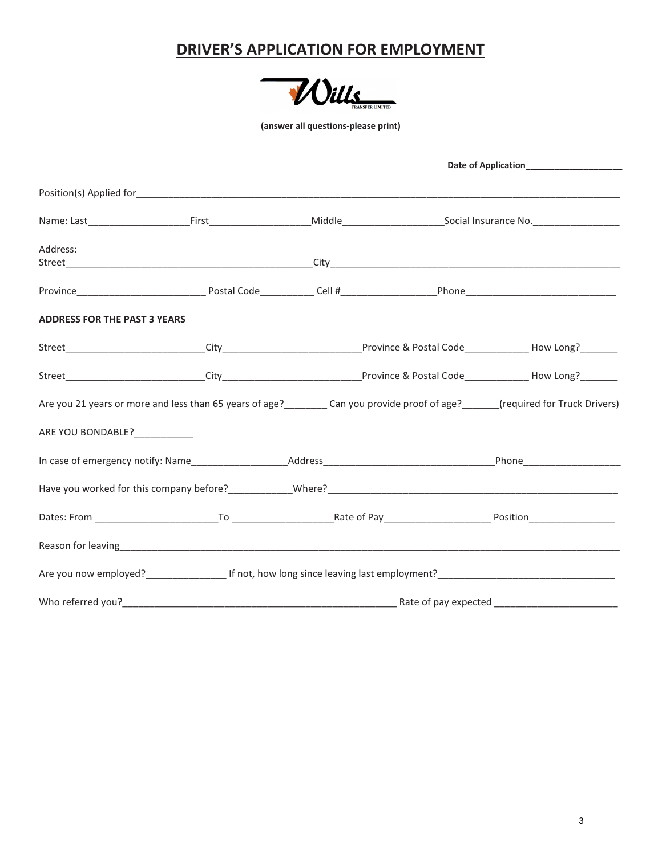## **DRIVER'S APPLICATION FOR EMPLOYMENT**



**(answer all questions-please print)** 

|                                     |                                                                                                                                         |                      | Date of Application______________________ |
|-------------------------------------|-----------------------------------------------------------------------------------------------------------------------------------------|----------------------|-------------------------------------------|
|                                     |                                                                                                                                         |                      |                                           |
|                                     | Name: Last_________________________First_________________________Middle__________________________Social Insurance No.__________________ |                      |                                           |
| Address:                            |                                                                                                                                         |                      |                                           |
|                                     |                                                                                                                                         |                      |                                           |
| <b>ADDRESS FOR THE PAST 3 YEARS</b> |                                                                                                                                         |                      |                                           |
|                                     |                                                                                                                                         |                      |                                           |
|                                     |                                                                                                                                         |                      |                                           |
|                                     | Are you 21 years or more and less than 65 years of age?<br><u>Can you provide proof of age?</u> (required for Truck Drivers)            |                      |                                           |
| ARE YOU BONDABLE?___________        |                                                                                                                                         |                      |                                           |
|                                     |                                                                                                                                         |                      |                                           |
|                                     |                                                                                                                                         |                      |                                           |
|                                     |                                                                                                                                         |                      |                                           |
|                                     |                                                                                                                                         |                      |                                           |
|                                     |                                                                                                                                         |                      |                                           |
| Who referred you?                   |                                                                                                                                         | Rate of pay expected |                                           |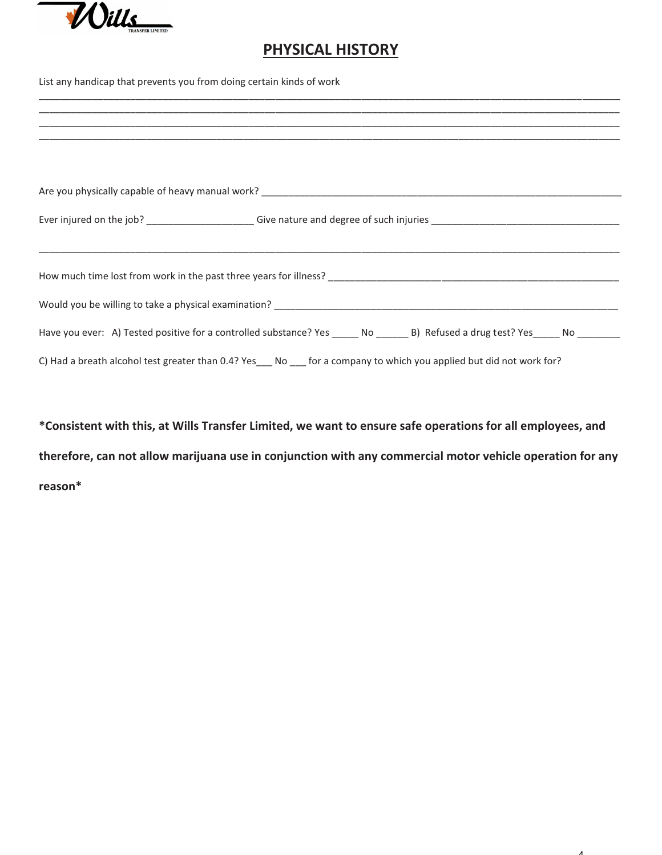

## **PHYSICAL HISTORY**

List any handicap that prevents you from doing certain kinds of work

|  |  | Have you ever: A) Tested positive for a controlled substance? Yes _____ No _______ B) Refused a drug test? Yes _____ No ________ |  |
|--|--|----------------------------------------------------------------------------------------------------------------------------------|--|
|  |  | C) Had a breath alcohol test greater than 0.4? Yes___ No ___ for a company to which you applied but did not work for?            |  |

**\*Consistent with this, at Wills Transfer Limited, we want to ensure safe operations for all employees, and therefore, can not allow marijuana use in conjunction with any commercial motor vehicle operation for any reason\***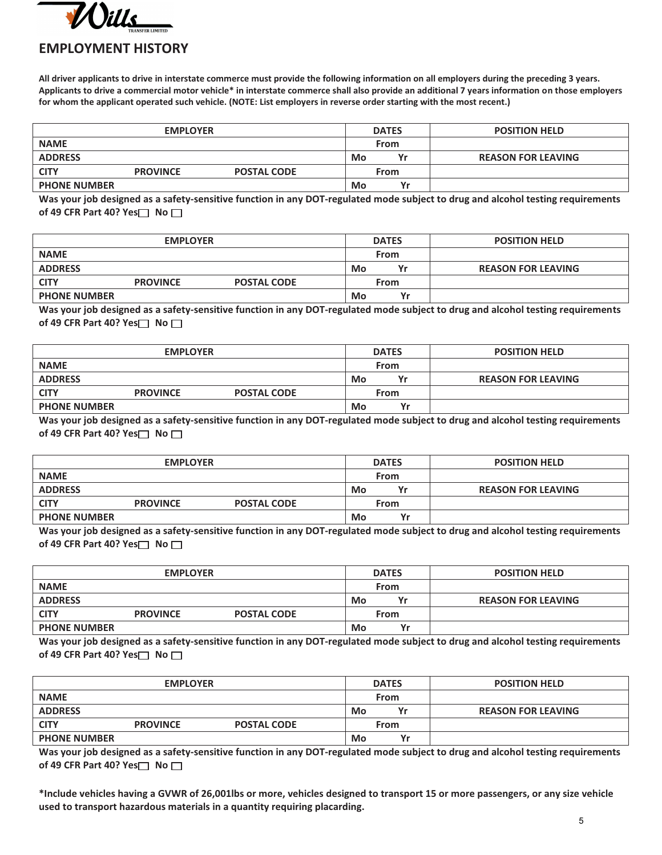

### **EMPLOYMENT HISTORY**

**All driver applicants to drive in interstate commerce must provide the following information on all employers during the preceding 3 years. Applicants to drive a commercial motor vehicle\* in interstate commerce shall also provide an additional 7 years information on those employers for whom the applicant operated such vehicle. (NOTE: List employers in reverse order starting with the most recent.)** 

| <b>EMPLOYER</b>     |                 |                    |    | <b>DATES</b> | <b>POSITION HELD</b>      |
|---------------------|-----------------|--------------------|----|--------------|---------------------------|
| <b>NAME</b>         |                 |                    |    | From         |                           |
| <b>ADDRESS</b>      |                 |                    | Mo | Yr           | <b>REASON FOR LEAVING</b> |
| <b>CITY</b>         | <b>PROVINCE</b> | <b>POSTAL CODE</b> |    | From         |                           |
| <b>PHONE NUMBER</b> |                 |                    | Mo | v            |                           |

**Was your job designed as a safety-sensitive function in any DOT-regulated mode subject to drug and alcohol testing requirements of 49 CFR Part 40? Yes** No  $\Box$ 

| <b>EMPLOYER</b>     |                 |                    |    | <b>DATES</b> | <b>POSITION HELD</b>      |
|---------------------|-----------------|--------------------|----|--------------|---------------------------|
| <b>NAME</b>         |                 |                    |    | From         |                           |
| <b>ADDRESS</b>      |                 |                    | Mo | Yr           | <b>REASON FOR LEAVING</b> |
| <b>CITY</b>         | <b>PROVINCE</b> | <b>POSTAL CODE</b> |    | From         |                           |
| <b>PHONE NUMBER</b> |                 |                    | Mo | $\mathbf{v}$ |                           |

**Was your job designed as a safety-sensitive function in any DOT-regulated mode subject to drug and alcohol testing requirements of 49 CFR Part 40? Yes**  $\Box$  No  $\Box$ 

| <b>EMPLOYER</b>     |                 |                    |    | <b>DATES</b> | <b>POSITION HELD</b>      |
|---------------------|-----------------|--------------------|----|--------------|---------------------------|
| <b>NAME</b>         |                 |                    |    | From         |                           |
| <b>ADDRESS</b>      |                 |                    | Mo | Yr           | <b>REASON FOR LEAVING</b> |
| <b>CITY</b>         | <b>PROVINCE</b> | <b>POSTAL CODE</b> |    | From         |                           |
| <b>PHONE NUMBER</b> |                 |                    | Mo | $\mathbf{v}$ |                           |

**Was your job designed as a safety-sensitive function in any DOT-regulated mode subject to drug and alcohol testing requirements of 49 CFR Part 40? Yes** No  $\Box$ 

| <b>EMPLOYER</b>     |                 |                    |    | <b>DATES</b> | <b>POSITION HELD</b>      |
|---------------------|-----------------|--------------------|----|--------------|---------------------------|
| <b>NAME</b>         |                 |                    |    | From         |                           |
| <b>ADDRESS</b>      |                 |                    | Mo | Yr           | <b>REASON FOR LEAVING</b> |
| <b>CITY</b>         | <b>PROVINCE</b> | <b>POSTAL CODE</b> |    | From         |                           |
| <b>PHONE NUMBER</b> |                 |                    | Mo | Yr           |                           |

**Was your job designed as a safety-sensitive function in any DOT-regulated mode subject to drug and alcohol testing requirements of 49 CFR Part 40? Yes**  $\Box$  No  $\Box$ 

| <b>EMPLOYER</b>     |                 |                    |    | <b>DATES</b> | <b>POSITION HELD</b>      |
|---------------------|-----------------|--------------------|----|--------------|---------------------------|
| <b>NAME</b>         |                 |                    |    | From         |                           |
| <b>ADDRESS</b>      |                 |                    | Mo | Yr           | <b>REASON FOR LEAVING</b> |
| <b>CITY</b>         | <b>PROVINCE</b> | <b>POSTAL CODE</b> |    | From         |                           |
| <b>PHONE NUMBER</b> |                 |                    | Mo | $\mathbf{v}$ |                           |

**Was your job designed as a safety-sensitive function in any DOT-regulated mode subject to drug and alcohol testing requirements of 49 CFR Part 40? Yes**  $\Box$  No  $\Box$ 

| <b>EMPLOYER</b>     |                 |                    |    | <b>DATES</b> | <b>POSITION HELD</b>      |
|---------------------|-----------------|--------------------|----|--------------|---------------------------|
|                     |                 |                    |    |              |                           |
| <b>NAME</b>         |                 |                    |    | From         |                           |
| <b>ADDRESS</b>      |                 |                    | Mo | Yr           | <b>REASON FOR LEAVING</b> |
| <b>CITY</b>         | <b>PROVINCE</b> | <b>POSTAL CODE</b> |    | From         |                           |
| <b>PHONE NUMBER</b> |                 |                    | Mo | $V_{r}$      |                           |

**Was your job designed as a safety-sensitive function in any DOT-regulated mode subject to drug and alcohol testing requirements of 49 CFR Part 40? Yes** No

**\*Include vehicles having a GVWR of 26,001lbs or more, vehicles designed to transport 15 or more passengers, or any size vehicle used to transport hazardous materials in a quantity requiring placarding.**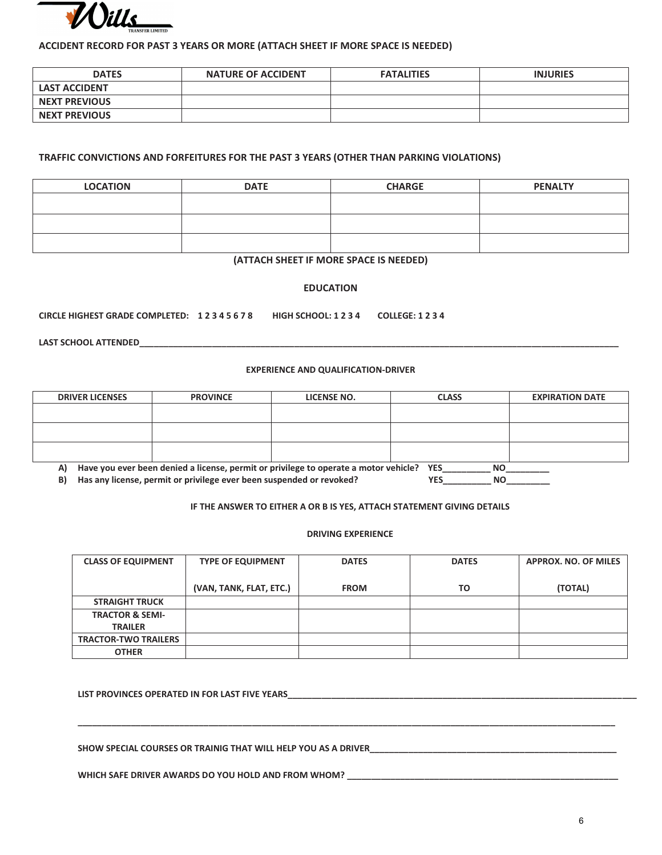

#### **ACCIDENT RECORD FOR PAST 3 YEARS OR MORE (ATTACH SHEET IF MORE SPACE IS NEEDED)**

| <b>DATES</b>         | <b>NATURE OF ACCIDENT</b> | <b>FATALITIES</b> | <b>INJURIES</b> |
|----------------------|---------------------------|-------------------|-----------------|
| <b>LAST ACCIDENT</b> |                           |                   |                 |
| <b>NEXT PREVIOUS</b> |                           |                   |                 |
| <b>NEXT PREVIOUS</b> |                           |                   |                 |

#### **TRAFFIC CONVICTIONS AND FORFEITURES FOR THE PAST 3 YEARS (OTHER THAN PARKING VIOLATIONS)**

| <b>LOCATION</b> | <b>DATE</b> | <b>CHARGE</b> | <b>PENALTY</b> |
|-----------------|-------------|---------------|----------------|
|                 |             |               |                |
|                 |             |               |                |
|                 |             |               |                |
|                 |             |               |                |

#### **(ATTACH SHEET IF MORE SPACE IS NEEDED)**

#### **EDUCATION**

**CIRCLE HIGHEST GRADE COMPLETED: 1 2 3 4 5 6 7 8 HIGH SCHOOL: 1 2 3 4 COLLEGE: 1 2 3 4** 

**LAST SCHOOL ATTENDED\_\_\_\_\_\_\_\_\_\_\_\_\_\_\_\_\_\_\_\_\_\_\_\_\_\_\_\_\_\_\_\_\_\_\_\_\_\_\_\_\_\_\_\_\_\_\_\_\_\_\_\_\_\_\_\_\_\_\_\_\_\_\_\_\_\_\_\_\_\_\_\_\_\_\_\_\_\_\_\_\_\_\_\_\_\_\_\_\_\_\_\_\_\_\_\_\_\_\_** 

#### **EXPERIENCE AND QUALIFICATION-DRIVER**

| <b>DRIVER LICENSES</b>                                                                               | <b>PROVINCE</b> | LICENSE NO. | <b>CLASS</b> | <b>EXPIRATION DATE</b> |  |  |  |
|------------------------------------------------------------------------------------------------------|-----------------|-------------|--------------|------------------------|--|--|--|
|                                                                                                      |                 |             |              |                        |  |  |  |
|                                                                                                      |                 |             |              |                        |  |  |  |
|                                                                                                      |                 |             |              |                        |  |  |  |
|                                                                                                      |                 |             |              |                        |  |  |  |
| Have you ever been denied a license, permit or privilege to operate a motor vehicle? YES<br>NO<br>A) |                 |             |              |                        |  |  |  |
| Has any license, permit or privilege ever been suspended or revoked?<br><b>YES</b><br>B)<br>ΝO       |                 |             |              |                        |  |  |  |

#### **IF THE ANSWER TO EITHER A OR B IS YES, ATTACH STATEMENT GIVING DETAILS**

#### **DRIVING EXPERIENCE**

| <b>CLASS OF EQUIPMENT</b>   | <b>TYPE OF EQUIPMENT</b> | <b>DATES</b> | <b>DATES</b> | <b>APPROX. NO. OF MILES</b> |
|-----------------------------|--------------------------|--------------|--------------|-----------------------------|
|                             | (VAN, TANK, FLAT, ETC.)  | <b>FROM</b>  | TO           | (TOTAL)                     |
| <b>STRAIGHT TRUCK</b>       |                          |              |              |                             |
| <b>TRACTOR &amp; SEMI-</b>  |                          |              |              |                             |
| <b>TRAILER</b>              |                          |              |              |                             |
| <b>TRACTOR-TWO TRAILERS</b> |                          |              |              |                             |
| <b>OTHER</b>                |                          |              |              |                             |

**\_\_\_\_\_\_\_\_\_\_\_\_\_\_\_\_\_\_\_\_\_\_\_\_\_\_\_\_\_\_\_\_\_\_\_\_\_\_\_\_\_\_\_\_\_\_\_\_\_\_\_\_\_\_\_\_\_\_\_\_\_\_\_\_\_\_\_\_\_\_\_\_\_\_\_\_\_\_\_\_\_\_\_\_\_\_\_\_\_\_\_\_\_\_\_\_\_\_\_\_\_\_\_\_\_\_\_\_\_\_\_** 

**LIST PROVINCES OPERATED IN FOR LAST FIVE YEARS\_\_\_\_\_\_\_\_\_\_\_\_\_\_\_\_\_\_\_\_\_\_\_\_\_\_\_\_\_\_\_\_\_\_\_\_\_\_\_\_\_\_\_\_\_\_\_\_\_\_\_\_\_\_\_\_\_\_\_\_\_\_\_\_\_\_\_\_\_\_\_\_** 

**SHOW SPECIAL COURSES OR TRAINIG THAT WILL HELP YOU AS A DRIVER\_\_\_\_\_\_\_\_\_\_\_\_\_\_\_\_\_\_\_\_\_\_\_\_\_\_\_\_\_\_\_\_\_\_\_\_\_\_\_\_\_\_\_\_\_\_\_\_\_\_\_** 

WHICH SAFE DRIVER AWARDS DO YOU HOLD AND FROM WHOM? \_\_\_\_\_\_\_\_\_\_\_\_\_\_\_\_\_\_\_\_\_\_\_\_\_\_\_\_\_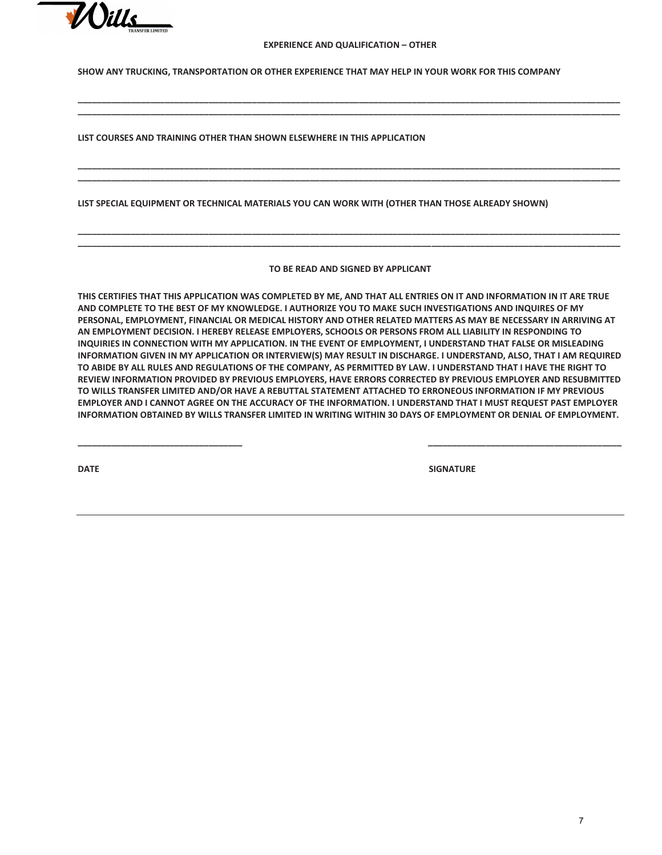

#### **EXPERIENCE AND QUALIFICATION – OTHER**

**\_\_\_\_\_\_\_\_\_\_\_\_\_\_\_\_\_\_\_\_\_\_\_\_\_\_\_\_\_\_\_\_\_\_\_\_\_\_\_\_\_\_\_\_\_\_\_\_\_\_\_\_\_\_\_\_\_\_\_\_\_\_\_\_\_\_\_\_\_\_\_\_\_\_\_\_\_\_\_\_\_\_\_\_\_\_\_\_\_\_\_\_\_\_\_\_\_\_\_\_\_\_\_\_\_\_\_\_\_\_\_\_ \_\_\_\_\_\_\_\_\_\_\_\_\_\_\_\_\_\_\_\_\_\_\_\_\_\_\_\_\_\_\_\_\_\_\_\_\_\_\_\_\_\_\_\_\_\_\_\_\_\_\_\_\_\_\_\_\_\_\_\_\_\_\_\_\_\_\_\_\_\_\_\_\_\_\_\_\_\_\_\_\_\_\_\_\_\_\_\_\_\_\_\_\_\_\_\_\_\_\_\_\_\_\_\_\_\_\_\_\_\_\_\_** 

**\_\_\_\_\_\_\_\_\_\_\_\_\_\_\_\_\_\_\_\_\_\_\_\_\_\_\_\_\_\_\_\_\_\_\_\_\_\_\_\_\_\_\_\_\_\_\_\_\_\_\_\_\_\_\_\_\_\_\_\_\_\_\_\_\_\_\_\_\_\_\_\_\_\_\_\_\_\_\_\_\_\_\_\_\_\_\_\_\_\_\_\_\_\_\_\_\_\_\_\_\_\_\_\_\_\_\_\_\_\_\_\_ \_\_\_\_\_\_\_\_\_\_\_\_\_\_\_\_\_\_\_\_\_\_\_\_\_\_\_\_\_\_\_\_\_\_\_\_\_\_\_\_\_\_\_\_\_\_\_\_\_\_\_\_\_\_\_\_\_\_\_\_\_\_\_\_\_\_\_\_\_\_\_\_\_\_\_\_\_\_\_\_\_\_\_\_\_\_\_\_\_\_\_\_\_\_\_\_\_\_\_\_\_\_\_\_\_\_\_\_\_\_\_\_** 

**SHOW ANY TRUCKING, TRANSPORTATION OR OTHER EXPERIENCE THAT MAY HELP IN YOUR WORK FOR THIS COMPANY** 

**LIST COURSES AND TRAINING OTHER THAN SHOWN ELSEWHERE IN THIS APPLICATION** 

**LIST SPECIAL EQUIPMENT OR TECHNICAL MATERIALS YOU CAN WORK WITH (OTHER THAN THOSE ALREADY SHOWN)** 

**TO BE READ AND SIGNED BY APPLICANT** 

**\_\_\_\_\_\_\_\_\_\_\_\_\_\_\_\_\_\_\_\_\_\_\_\_\_\_\_\_\_\_\_\_\_\_\_\_\_\_\_\_\_\_\_\_\_\_\_\_\_\_\_\_\_\_\_\_\_\_\_\_\_\_\_\_\_\_\_\_\_\_\_\_\_\_\_\_\_\_\_\_\_\_\_\_\_\_\_\_\_\_\_\_\_\_\_\_\_\_\_\_\_\_\_\_\_\_\_\_\_\_\_\_ \_\_\_\_\_\_\_\_\_\_\_\_\_\_\_\_\_\_\_\_\_\_\_\_\_\_\_\_\_\_\_\_\_\_\_\_\_\_\_\_\_\_\_\_\_\_\_\_\_\_\_\_\_\_\_\_\_\_\_\_\_\_\_\_\_\_\_\_\_\_\_\_\_\_\_\_\_\_\_\_\_\_\_\_\_\_\_\_\_\_\_\_\_\_\_\_\_\_\_\_\_\_\_\_\_\_\_\_\_\_\_\_** 

**THIS CERTIFIES THAT THIS APPLICATION WAS COMPLETED BY ME, AND THAT ALL ENTRIES ON IT AND INFORMATION IN IT ARE TRUE AND COMPLETE TO THE BEST OF MY KNOWLEDGE. I AUTHORIZE YOU TO MAKE SUCH INVESTIGATIONS AND INQUIRES OF MY PERSONAL, EMPLOYMENT, FINANCIAL OR MEDICAL HISTORY AND OTHER RELATED MATTERS AS MAY BE NECESSARY IN ARRIVING AT AN EMPLOYMENT DECISION. I HEREBY RELEASE EMPLOYERS, SCHOOLS OR PERSONS FROM ALL LIABILITY IN RESPONDING TO INQUIRIES IN CONNECTION WITH MY APPLICATION. IN THE EVENT OF EMPLOYMENT, I UNDERSTAND THAT FALSE OR MISLEADING INFORMATION GIVEN IN MY APPLICATION OR INTERVIEW(S) MAY RESULT IN DISCHARGE. I UNDERSTAND, ALSO, THAT I AM REQUIRED TO ABIDE BY ALL RULES AND REGULATIONS OF THE COMPANY, AS PERMITTED BY LAW. I UNDERSTAND THAT I HAVE THE RIGHT TO REVIEW INFORMATION PROVIDED BY PREVIOUS EMPLOYERS, HAVE ERRORS CORRECTED BY PREVIOUS EMPLOYER AND RESUBMITTED TO WILLS TRANSFER LIMITED AND/OR HAVE A REBUTTAL STATEMENT ATTACHED TO ERRONEOUS INFORMATION IF MY PREVIOUS EMPLOYER AND I CANNOT AGREE ON THE ACCURACY OF THE INFORMATION. I UNDERSTAND THAT I MUST REQUEST PAST EMPLOYER INFORMATION OBTAINED BY WILLS TRANSFER LIMITED IN WRITING WITHIN 30 DAYS OF EMPLOYMENT OR DENIAL OF EMPLOYMENT.** 

**\_\_\_\_\_\_\_\_\_\_\_\_\_\_\_\_\_\_\_\_\_\_\_\_\_\_\_\_\_\_\_\_\_\_ \_\_\_\_\_\_\_\_\_\_\_\_\_\_\_\_\_\_\_\_\_\_\_\_\_\_\_\_\_\_\_\_\_\_\_\_\_\_\_\_** 

**DATE** SIGNATURE **SIGNATURE**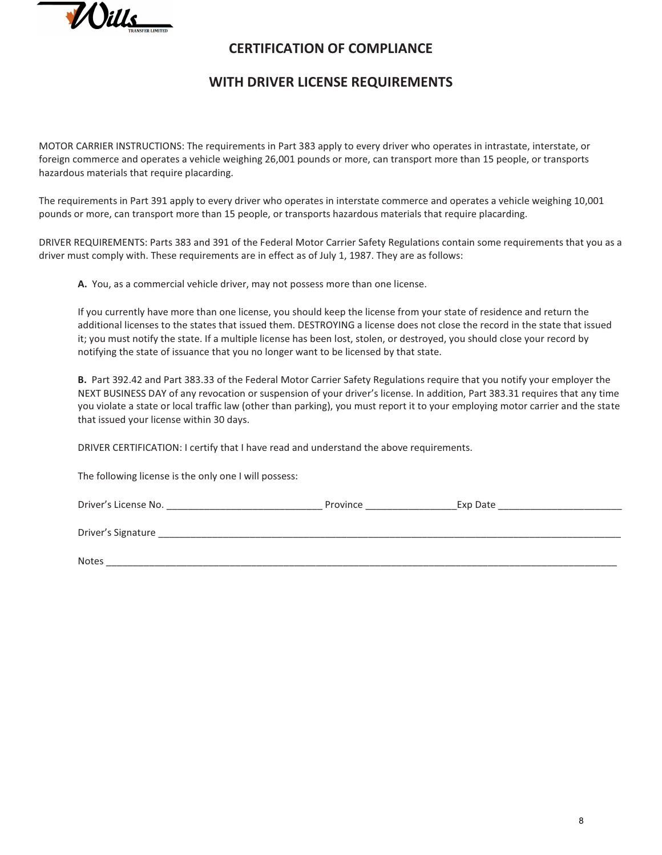

### **CERTIFICATION OF COMPLIANCE**

### **WITH DRIVER LICENSE REQUIREMENTS**

MOTOR CARRIER INSTRUCTIONS: The requirements in Part 383 apply to every driver who operates in intrastate, interstate, or foreign commerce and operates a vehicle weighing 26,001 pounds or more, can transport more than 15 people, or transports hazardous materials that require placarding.

The requirements in Part 391 apply to every driver who operates in interstate commerce and operates a vehicle weighing 10,001 pounds or more, can transport more than 15 people, or transports hazardous materials that require placarding.

DRIVER REQUIREMENTS: Parts 383 and 391 of the Federal Motor Carrier Safety Regulations contain some requirements that you as a driver must comply with. These requirements are in effect as of July 1, 1987. They are as follows:

**A.** You, as a commercial vehicle driver, may not possess more than one license.

If you currently have more than one license, you should keep the license from your state of residence and return the additional licenses to the states that issued them. DESTROYING a license does not close the record in the state that issued it; you must notify the state. If a multiple license has been lost, stolen, or destroyed, you should close your record by notifying the state of issuance that you no longer want to be licensed by that state.

**B.** Part 392.42 and Part 383.33 of the Federal Motor Carrier Safety Regulations require that you notify your employer the NEXT BUSINESS DAY of any revocation or suspension of your driver's license. In addition, Part 383.31 requires that any time you violate a state or local traffic law (other than parking), you must report it to your employing motor carrier and the state that issued your license within 30 days.

DRIVER CERTIFICATION: I certify that I have read and understand the above requirements.

The following license is the only one I will possess:

| Driver's License No. | Province | Exp Date |
|----------------------|----------|----------|
| Driver's Signature   |          |          |
| <b>Notes</b>         |          |          |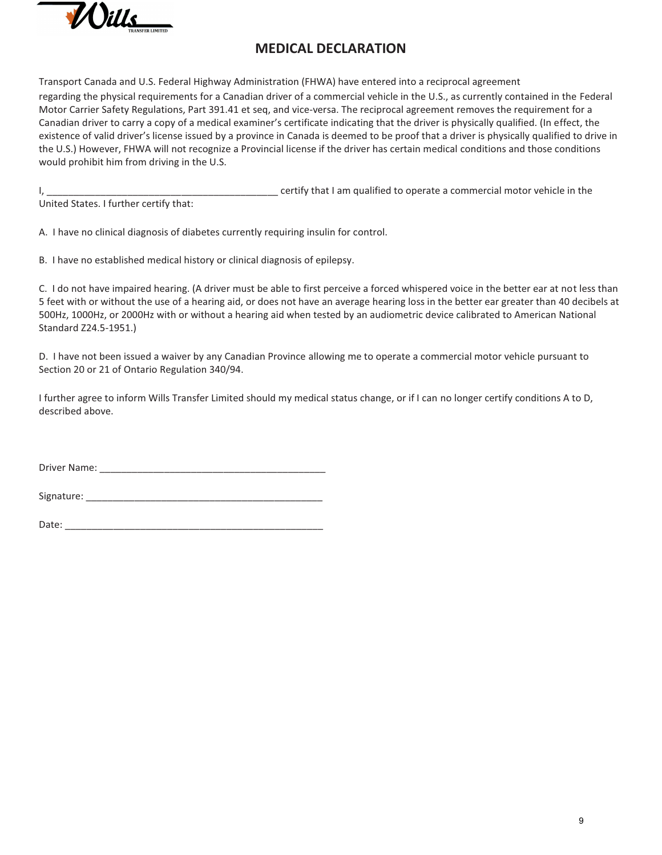

### **MEDICAL DECLARATION**

Transport Canada and U.S. Federal Highway Administration (FHWA) have entered into a reciprocal agreement regarding the physical requirements for a Canadian driver of a commercial vehicle in the U.S., as currently contained in the Federal Motor Carrier Safety Regulations, Part 391.41 et seq, and vice-versa. The reciprocal agreement removes the requirement for a Canadian driver to carry a copy of a medical examiner's certificate indicating that the driver is physically qualified. (In effect, the existence of valid driver's license issued by a province in Canada is deemed to be proof that a driver is physically qualified to drive in the U.S.) However, FHWA will not recognize a Provincial license if the driver has certain medical conditions and those conditions would prohibit him from driving in the U.S.

I, \_\_\_\_\_\_\_\_\_\_\_\_\_\_\_\_\_\_\_\_\_\_\_\_\_\_\_\_\_\_\_\_\_\_\_\_\_\_\_\_\_\_\_ certify that I am qualified to operate a commercial motor vehicle in the

United States. I further certify that:

A. I have no clinical diagnosis of diabetes currently requiring insulin for control.

B. I have no established medical history or clinical diagnosis of epilepsy.

C. I do not have impaired hearing. (A driver must be able to first perceive a forced whispered voice in the better ear at not less than 5 feet with or without the use of a hearing aid, or does not have an average hearing loss in the better ear greater than 40 decibels at 500Hz, 1000Hz, or 2000Hz with or without a hearing aid when tested by an audiometric device calibrated to American National Standard Z24.5-1951.)

D. I have not been issued a waiver by any Canadian Province allowing me to operate a commercial motor vehicle pursuant to Section 20 or 21 of Ontario Regulation 340/94.

I further agree to inform Wills Transfer Limited should my medical status change, or if I can no longer certify conditions A to D, described above.

Driver Name: \_\_\_\_\_\_\_\_\_\_\_\_\_\_\_\_\_\_\_\_\_\_\_\_\_\_\_\_\_\_\_\_\_\_\_\_\_\_\_\_\_\_

| Signature: |  |
|------------|--|
|            |  |

Date:  $\overline{\phantom{a}}$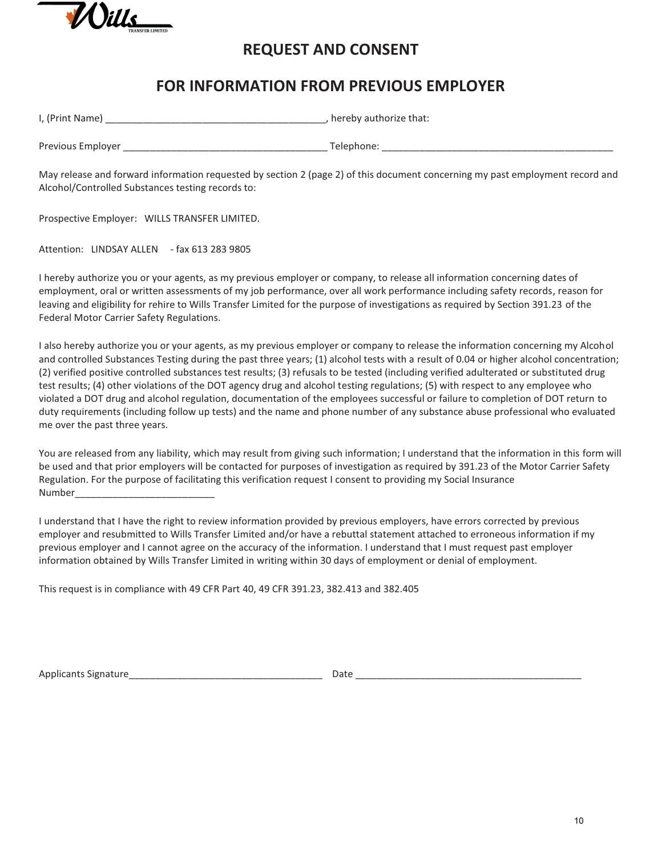

## **REQUEST AND CONSENT**

## **FOR INFORMATION FROM PREVIOUS EMPLOYER**

| I, (Print Name)   | , hereby authorize that: |
|-------------------|--------------------------|
| Previous Employer | Telephone:               |

May release and forward information requested by section 2 (page 2) of this document concerning my past employment record and Alcohol/Controlled Substances testing records to:

Prospective Employer: WILLS TRANSFER LIMITED.

Attention: LINDSAY ALLEN - fax 613 283 9805

I hereby authorize you or your agents, as my previous employer or company, to release all information concerning dates of employment, oral or written assessments of my job performance, over all work performance including safety records, reason for leaving and eligibility for rehire to Wills Transfer Limited for the purpose of investigations as required by Section 391.23 of the Federal Motor Carrier Safety Regulations.

I also hereby authorize you or your agents, as my previous employer or company to release the information concerning my Alcohol and controlled Substances Testing during the past three years; (1) alcohol tests with a result of 0.04 or higher alcohol concentration; (2) verified positive controlled substances test results; (3) refusals to be tested (including verified adulterated or substituted drug test results; (4) other violations of the DOT agency drug and alcohol testing regulations; (5) with respect to any employee who violated a DOT drug and alcohol regulation, documentation of the employees successful or failure to completion of DOT return to duty requirements (including follow up tests) and the name and phone number of any substance abuse professional who evaluated me over the past three years.

You are released from any liability, which may result from giving such information; I understand that the information in this form will be used and that prior employers will be contacted for purposes of investigation as required by 391.23 of the Motor Carrier Safety Regulation. For the purpose of facilitating this verification request I consent to providing my Social Insurance Number

I understand that I have the right to review information provided by previous employers, have errors corrected by previous employer and resubmitted to Wills Transfer Limited and/or have a rebuttal statement attached to erroneous information if my previous employer and I cannot agree on the accuracy of the information. I understand that I must request past employer information obtained by Wills Transfer Limited in writing within 30 days of employment or denial of employment.

This request is in compliance with 49 CFR Part 40, 49 CFR 391.23, 382.413 and 382.405

Applicants Signature **Example 20 and 20 and 20 and 20 and 20 and 20 and 20 and 20 and 20 and 20 and 20 and 20 and 20 and 20 and 20 and 20 and 20 and 20 and 20 and 20 and 20 and 20 and 20 and 20 and 20 and 20 and 20 and 20**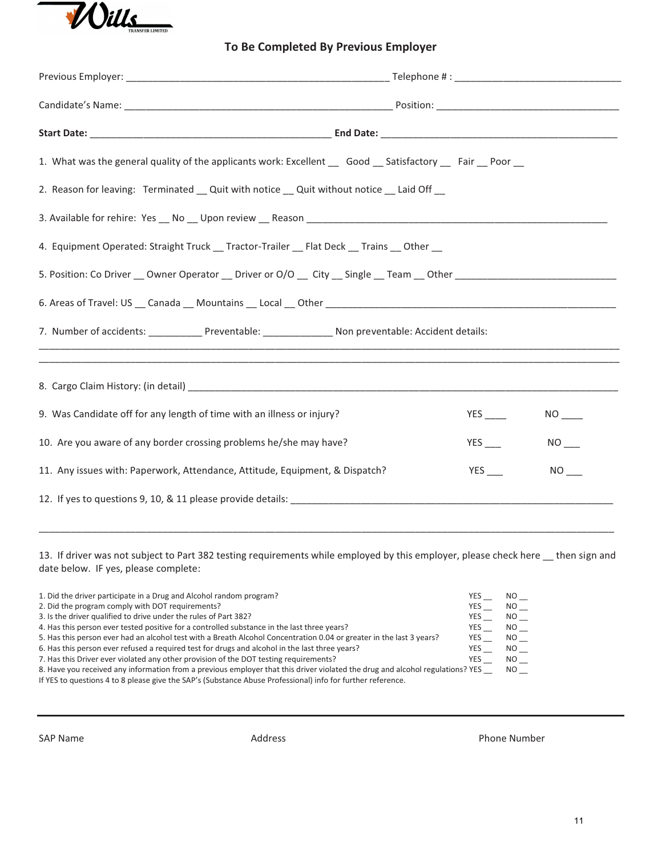

### **To Be Completed By Previous Employer**

| 1. What was the general quality of the applicants work: Excellent __ Good __ Satisfactory __ Fair __ Poor __         |                               |  |  |  |
|----------------------------------------------------------------------------------------------------------------------|-------------------------------|--|--|--|
| 2. Reason for leaving: Terminated _ Quit with notice _ Quit without notice _ Laid Off _                              |                               |  |  |  |
|                                                                                                                      |                               |  |  |  |
| 4. Equipment Operated: Straight Truck __ Tractor-Trailer __ Flat Deck __ Trains __ Other __                          |                               |  |  |  |
| 5. Position: Co Driver __ Owner Operator __ Driver or O/O __ City __ Single __ Team __ Other _______________________ |                               |  |  |  |
|                                                                                                                      |                               |  |  |  |
| 7. Number of accidents: _______________ Preventable: ____________________ Non preventable: Accident details:         |                               |  |  |  |
|                                                                                                                      |                               |  |  |  |
|                                                                                                                      |                               |  |  |  |
| 9. Was Candidate off for any length of time with an illness or injury?                                               | $NO$ <sub>---</sub>           |  |  |  |
| 10. Are you aware of any border crossing problems he/she may have?                                                   | $NO$ <sub>___</sub>           |  |  |  |
| 11. Any issues with: Paperwork, Attendance, Attitude, Equipment, & Dispatch?                                         | <b>YES</b><br>NO <sub>1</sub> |  |  |  |
| 12. If yes to questions 9, 10, & 11 please provide details:                                                          |                               |  |  |  |
|                                                                                                                      |                               |  |  |  |

13. If driver was not subject to Part 382 testing requirements while employed by this employer, please check here \_\_ then sign and date below. IF yes, please complete:

\_\_\_\_\_\_\_\_\_\_\_\_\_\_\_\_\_\_\_\_\_\_\_\_\_\_\_\_\_\_\_\_\_\_\_\_\_\_\_\_\_\_\_\_\_\_\_\_\_\_\_\_\_\_\_\_\_\_\_\_\_\_\_\_\_\_\_\_\_\_\_\_\_\_\_\_\_\_\_\_\_\_\_\_\_\_\_\_\_\_\_\_\_\_\_\_\_\_\_\_\_\_\_\_\_\_\_

| 1. Did the driver participate in a Drug and Alcohol random program?                                                           | YES.       | <b>NO</b> |
|-------------------------------------------------------------------------------------------------------------------------------|------------|-----------|
| 2. Did the program comply with DOT requirements?                                                                              | <b>YES</b> | NO.       |
| 3. Is the driver qualified to drive under the rules of Part 382?                                                              | YES        | NO L      |
| 4. Has this person ever tested positive for a controlled substance in the last three years?                                   | YES        | NO L      |
| 5. Has this person ever had an alcohol test with a Breath Alcohol Concentration 0.04 or greater in the last 3 years?          | YES        | NO 11     |
| 6. Has this person ever refused a required test for drugs and alcohol in the last three years?                                | YES        | NO L      |
| 7. Has this Driver ever violated any other provision of the DOT testing requirements?                                         | YES        | NO 1      |
| 8. Have you received any information from a previous employer that this driver violated the drug and alcohol regulations? YES |            | NO L      |
| If YES to questions 4 to 8 please give the SAP's (Substance Abuse Professional) info for further reference.                   |            |           |

SAP Name **Address** Address **Phone Number** Phone Number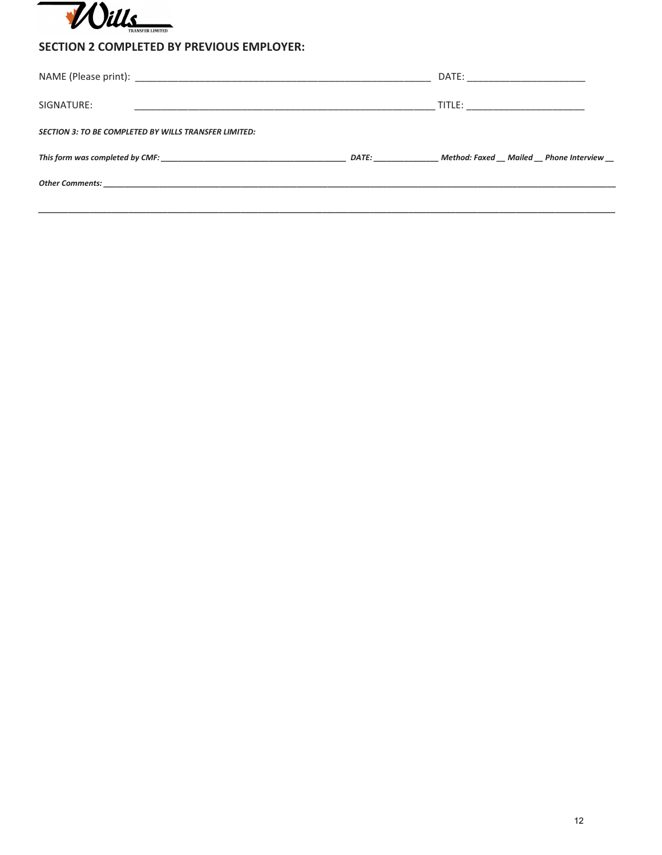

### **SECTION 2 COMPLETED BY PREVIOUS EMPLOYER:**

|                                                              |                                                                                                                                                                                                                                | DATE: ______________________         |
|--------------------------------------------------------------|--------------------------------------------------------------------------------------------------------------------------------------------------------------------------------------------------------------------------------|--------------------------------------|
| SIGNATURE:                                                   |                                                                                                                                                                                                                                | TITLE: __________________________    |
| <b>SECTION 3: TO BE COMPLETED BY WILLS TRANSFER LIMITED:</b> |                                                                                                                                                                                                                                |                                      |
|                                                              | DATE: The contract of the contract of the contract of the contract of the contract of the contract of the contract of the contract of the contract of the contract of the contract of the contract of the contract of the cont | Method: Faxed Mailed Phone Interview |
|                                                              |                                                                                                                                                                                                                                |                                      |
|                                                              |                                                                                                                                                                                                                                |                                      |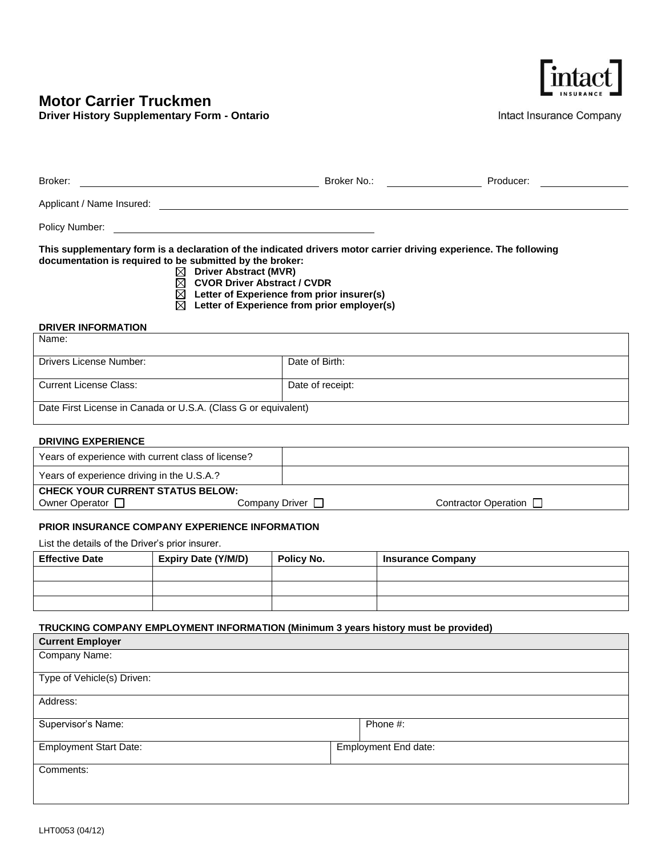## **Motor Carrier Truckmen**

**Driver History Supplementary Form - Ontario**



Intact Insurance Company

| Broker:                                                                                                                                                                                                                                                                                                                                                       | Broker No.:      | Producer: |  |  |  |
|---------------------------------------------------------------------------------------------------------------------------------------------------------------------------------------------------------------------------------------------------------------------------------------------------------------------------------------------------------------|------------------|-----------|--|--|--|
| Applicant / Name Insured:                                                                                                                                                                                                                                                                                                                                     |                  |           |  |  |  |
| Policy Number:                                                                                                                                                                                                                                                                                                                                                |                  |           |  |  |  |
| This supplementary form is a declaration of the indicated drivers motor carrier driving experience. The following<br>documentation is required to be submitted by the broker:<br>Driver Abstract (MVR)<br>⊠<br><b>CVOR Driver Abstract / CVDR</b><br>⊠<br>Letter of Experience from prior insurer(s)<br>⊠<br>⊠<br>Letter of Experience from prior employer(s) |                  |           |  |  |  |
| <b>DRIVER INFORMATION</b><br>Name:                                                                                                                                                                                                                                                                                                                            |                  |           |  |  |  |
|                                                                                                                                                                                                                                                                                                                                                               |                  |           |  |  |  |
| Drivers License Number:                                                                                                                                                                                                                                                                                                                                       | Date of Birth:   |           |  |  |  |
| <b>Current License Class:</b>                                                                                                                                                                                                                                                                                                                                 | Date of receipt: |           |  |  |  |

Date First License in Canada or U.S.A. (Class G or equivalent)

#### **DRIVING EXPERIENCE**

| Years of experience with current class of license? |                |                             |  |  |
|----------------------------------------------------|----------------|-----------------------------|--|--|
| Years of experience driving in the U.S.A.?         |                |                             |  |  |
| <b>CHECK YOUR CURRENT STATUS BELOW:</b>            |                |                             |  |  |
| Owner Operator [                                   | Company Driver | Contractor Operation $\Box$ |  |  |

#### **PRIOR INSURANCE COMPANY EXPERIENCE INFORMATION**

List the details of the Driver's prior insurer.

| <b>Effective Date</b> | <b>Expiry Date (Y/M/D)</b> | Policy No. | <b>Insurance Company</b> |
|-----------------------|----------------------------|------------|--------------------------|
|                       |                            |            |                          |
|                       |                            |            |                          |
|                       |                            |            |                          |

#### **TRUCKING COMPANY EMPLOYMENT INFORMATION (Minimum 3 years history must be provided)**

| <b>Current Employer</b>       |                      |
|-------------------------------|----------------------|
| Company Name:                 |                      |
| Type of Vehicle(s) Driven:    |                      |
| Address:                      |                      |
| Supervisor's Name:            | Phone #:             |
| <b>Employment Start Date:</b> | Employment End date: |
| Comments:                     |                      |
|                               |                      |